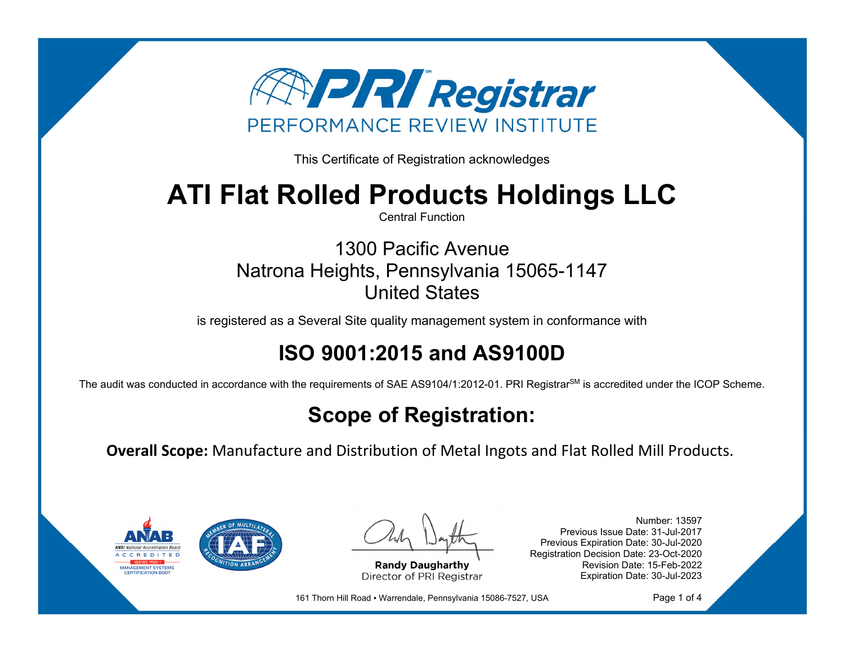

This Certificate of Registration acknowledges

# **ATI Flat Rolled Products Holdings LLC**

Central Function

1300 Pacific Avenue Natrona Heights, Pennsylvania 15065-1147 United States

is registered as a Several Site quality management system in conformance with

## **ISO 9001:2015 and AS9100D**

The audit was conducted in accordance with the requirements of SAE AS9104/1:2012-01. PRI Registrar<sup>SM</sup> is accredited under the ICOP Scheme.

## **Scope of Registration:**

**Overall Scope:** Manufacture and Distribution of Metal Ingots and Flat Rolled Mill Products.



**Randy Daugharthy** Director of PRI Registrar

Number: 13597 Previous Issue Date: 31-Jul-2017 Previous Expiration Date: 30-Jul-2020 Registration Decision Date: 23-Oct-2020 Revision Date: 15-Feb-2022 Expiration Date: 30-Jul-2023

161 Thorn Hill Road · Warrendale, Pennsylvania 15086-7527, USA

Page 1 of 4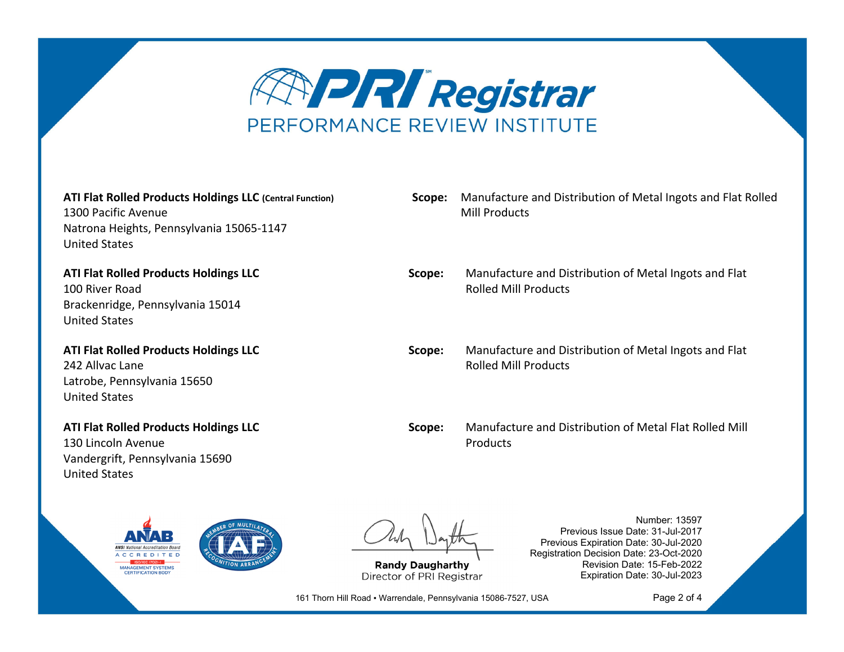

**ATI Flat Rolled Products Holdings LLC (Central Function)** 1300 Pacific Avenue Natrona Heights, Pennsylvania 15065‐1147 United States

**ATI Flat Rolled Products Holdings LLC** 100 River RoadBrackenridge, Pennsylvania 15014 United States

**ATI Flat Rolled Products Holdings LLC** 242 Allvac Lane Latrobe, Pennsylvania 15650 United States

**ATI Flat Rolled Products Holdings LLC** 130 Lincoln Avenue Vandergrift, Pennsylvania 15690 United States



**Randy Daugharthy** Director of PRI Registrar

Number: 13597 Previous Issue Date: 31-Jul-2017 Previous Expiration Date: 30-Jul-2020 Registration Decision Date: 23-Oct-2020 Revision Date: 15-Feb-2022 Expiration Date: 30-Jul-2023

161 Thorn Hill Road · Warrendale, Pennsylvania 15086-7527, USA

Page 2 of 4

**Scope:** Manufacture and Distribution of Metal Ingots and Flat Rolled Mill Products

**Scope:** Manufacture and Distribution of Metal Ingots and Flat Rolled Mill Products

**Scope:** Manufacture and Distribution of Metal Ingots and Flat Rolled Mill Products

**Scope:** Manufacture and Distribution of Metal Flat Rolled Mill Products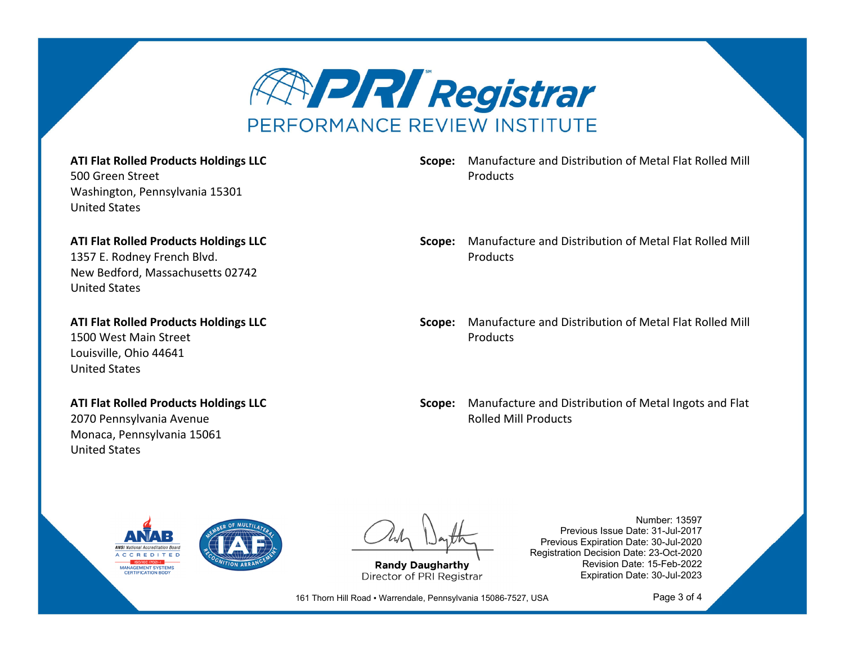

### **ATI Flat Rolled Products Holdings LLC**

500 Green Street Washington, Pennsylvania 15301 United States

## **ATI Flat Rolled Products Holdings LLC**

1357 E. Rodney French Blvd. New Bedford, Massachusetts 02742 United States

**ATI Flat Rolled Products Holdings LLC** 1500 West Main Street Louisville, Ohio 44641 United States

## **ATI Flat Rolled Products Holdings LLC**

2070 Pennsylvania Avenue Monaca, Pennsylvania 15061 United States

## **Scope:** Manufacture and Distribution of Metal Flat Rolled Mill **Products**

### **Scope:** Manufacture and Distribution of Metal Flat Rolled Mill Products

**Scope:** Manufacture and Distribution of Metal Flat Rolled Mill Products

**Scope:** Manufacture and Distribution of Metal Ingots and Flat Rolled Mill Products



**Randy Daugharthy** Director of PRI Registrar

Number: 13597 Previous Issue Date: 31-Jul-2017 Previous Expiration Date: 30-Jul-2020 Registration Decision Date: 23-Oct-2020 Revision Date: 15-Feb-2022 Expiration Date: 30-Jul-2023

161 Thorn Hill Road · Warrendale, Pennsylvania 15086-7527, USA

Page 3 of 4